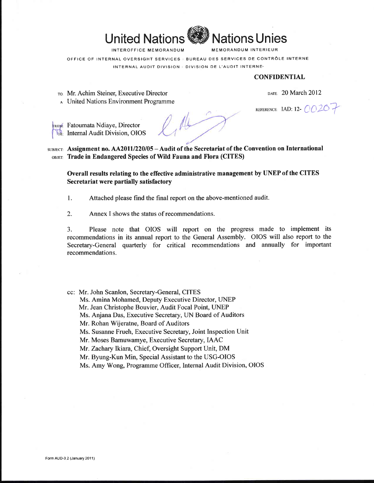

INTEROFFICE MEMORANDUM

**MEMORANDUM INTERIEUR** 

**Vations Unies** 

OFFICE OF INTERNAL OVERSIGHT SERVICES : BUREAU DES SERVICES DE CONTRÔLE INTERNE

INTERNAL AUDIT DIVISION & DIVISION DE L'AUDIT INTERNE.

#### **CONFIDENTIAL**

TO: Mr. Achim Steiner, Executive Director

A United Nations Environment Programme

DATE: 20 March 2012

REFERENCE: IAD: 12-  $OO$  20 +

**FROM**: Fatoumata Ndiaye, Director **DE:** Internal Audit Division, OIOS

1

SUBJECT: Assignment no.  $AA2011/220/05 - A$ udit of the Secretariat of the Convention on International OBJET: Trade in Endangered Species of Wild Fauna and Flora (CITES)

Overall results relating to the effective administrative management by UNEP of the CITES Secretariat were partially satisfactory

1. Attached please find the final report on the above-mentioned audit.

2. Annex I shows the status of recommendations.

Please note that OIOS will report on the progress made to implement its 3. recommendations in its annual report to the General Assembly. OIOS will also report to the Secretary-General quarterly for critical recommendations and annually for important recommendations.

cc: Mr. John Scanlon, Secretary-General, CITES

Ms. Amina Mohamed, Deputy Executive Director, UNEP

Mr. Jean Christophe Bouvier, Audit Focal Point, UNEP

Ms. Anjana Das, Executive Secretary, UN Board of Auditors

Mr. Rohan Wijeratne, Board of Auditors

Ms. Susanne Frueh, Executive Secretary, Joint Inspection Unit

Mr. Moses Bamuwamye, Executive Secretary, IAAC

Mr. Zachary Ikiara, Chief, Oversight Support Unit, DM

Mr. Byung-Kun Min, Special Assistant to the USG-OIOS

Ms. Amy Wong, Programme Officer, Internal Audit Division, OIOS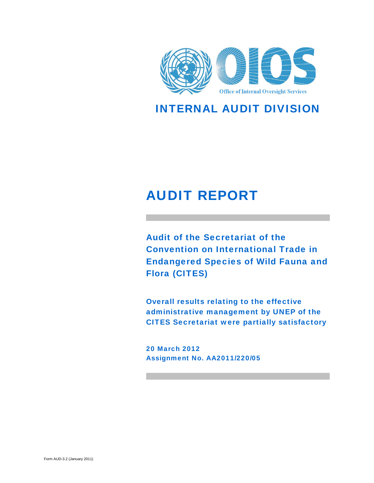

INTERNAL AUDIT DIVISION

# AUDIT REPORT

Audit of the Secretariat of the Convention on International Trade in Endangered Species of Wild Fauna and Flora (CITES)

Overall results relating to the effective administrative management by UNEP of the CITES Secretariat were partially satisfactory

20 March 2012 Assignment No. AA2011/220/05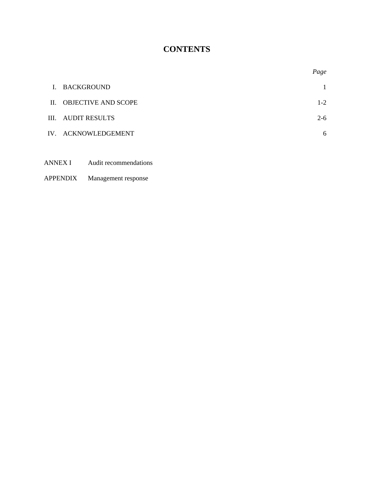# **CONTENTS**

|                |                            | Page    |
|----------------|----------------------------|---------|
| $\mathbf{I}$ . | BACKGROUND                 |         |
| $\Pi$ .        | <b>OBJECTIVE AND SCOPE</b> | $1-2$   |
|                | III. AUDIT RESULTS         | $2 - 6$ |
|                | IV. ACKNOWLEDGEMENT        | 6       |
|                |                            |         |

ANNEX I Audit recommendations

# APPENDIX Management response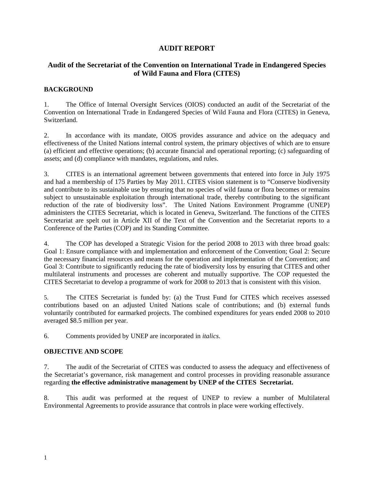# **AUDIT REPORT**

# **Audit of the Secretariat of the Convention on International Trade in Endangered Species of Wild Fauna and Flora (CITES)**

## **BACKGROUND**

1. The Office of Internal Oversight Services (OIOS) conducted an audit of the Secretariat of the Convention on International Trade in Endangered Species of Wild Fauna and Flora (CITES) in Geneva, Switzerland.

2. In accordance with its mandate, OIOS provides assurance and advice on the adequacy and effectiveness of the United Nations internal control system, the primary objectives of which are to ensure (a) efficient and effective operations; (b) accurate financial and operational reporting; (c) safeguarding of assets; and (d) compliance with mandates, regulations, and rules.

3. CITES is an international agreement between governments that entered into force in July 1975 and had a membership of 175 Parties by May 2011. CITES vision statement is to "Conserve biodiversity and contribute to its sustainable use by ensuring that no species of wild fauna or flora becomes or remains subject to unsustainable exploitation through international trade, thereby contributing to the significant reduction of the rate of biodiversity loss". The United Nations Environment Programme (UNEP) administers the CITES Secretariat, which is located in Geneva, Switzerland. The functions of the CITES Secretariat are spelt out in Article XII of the Text of the Convention and the Secretariat reports to a Conference of the Parties (COP) and its Standing Committee.

4. The COP has developed a Strategic Vision for the period 2008 to 2013 with three broad goals: Goal 1: Ensure compliance with and implementation and enforcement of the Convention; Goal 2: Secure the necessary financial resources and means for the operation and implementation of the Convention; and Goal 3: Contribute to significantly reducing the rate of biodiversity loss by ensuring that CITES and other multilateral instruments and processes are coherent and mutually supportive. The COP requested the CITES Secretariat to develop a programme of work for 2008 to 2013 that is consistent with this vision.

5. The CITES Secretariat is funded by: (a) the Trust Fund for CITES which receives assessed contributions based on an adjusted United Nations scale of contributions; and (b) external funds voluntarily contributed for earmarked projects. The combined expenditures for years ended 2008 to 2010 averaged \$8.5 million per year.

6. Comments provided by UNEP are incorporated in *italics*.

# **OBJECTIVE AND SCOPE**

7. The audit of the Secretariat of CITES was conducted to assess the adequacy and effectiveness of the Secretariat's governance, risk management and control processes in providing reasonable assurance regarding **the effective administrative management by UNEP of the CITES Secretariat.**

8. This audit was performed at the request of UNEP to review a number of Multilateral Environmental Agreements to provide assurance that controls in place were working effectively.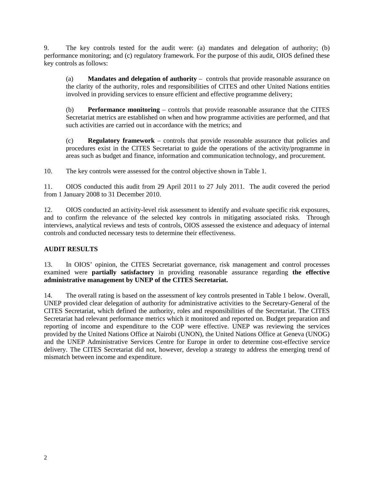9. The key controls tested for the audit were: (a) mandates and delegation of authority; (b) performance monitoring; and (c) regulatory framework. For the purpose of this audit, OIOS defined these key controls as follows:

(a) **Mandates and delegation of authority** – controls that provide reasonable assurance on the clarity of the authority, roles and responsibilities of CITES and other United Nations entities involved in providing services to ensure efficient and effective programme delivery;

(b) **Performance monitoring** – controls that provide reasonable assurance that the CITES Secretariat metrics are established on when and how programme activities are performed, and that such activities are carried out in accordance with the metrics; and

(c) **Regulatory framework** – controls that provide reasonable assurance that policies and procedures exist in the CITES Secretariat to guide the operations of the activity/programme in areas such as budget and finance, information and communication technology, and procurement.

10. The key controls were assessed for the control objective shown in Table 1.

11. OIOS conducted this audit from 29 April 2011 to 27 July 2011. The audit covered the period from 1 January 2008 to 31 December 2010.

12. OIOS conducted an activity-level risk assessment to identify and evaluate specific risk exposures, and to confirm the relevance of the selected key controls in mitigating associated risks. Through interviews, analytical reviews and tests of controls, OIOS assessed the existence and adequacy of internal controls and conducted necessary tests to determine their effectiveness.

#### **AUDIT RESULTS**

13. In OIOS' opinion, the CITES Secretariat governance, risk management and control processes examined were **partially satisfactory** in providing reasonable assurance regarding **the effective administrative management by UNEP of the CITES Secretariat.** 

14. The overall rating is based on the assessment of key controls presented in Table 1 below. Overall, UNEP provided clear delegation of authority for administrative activities to the Secretary-General of the CITES Secretariat, which defined the authority, roles and responsibilities of the Secretariat. The CITES Secretariat had relevant performance metrics which it monitored and reported on. Budget preparation and reporting of income and expenditure to the COP were effective. UNEP was reviewing the services provided by the United Nations Office at Nairobi (UNON), the United Nations Office at Geneva (UNOG) and the UNEP Administrative Services Centre for Europe in order to determine cost-effective service delivery. The CITES Secretariat did not, however, develop a strategy to address the emerging trend of mismatch between income and expenditure.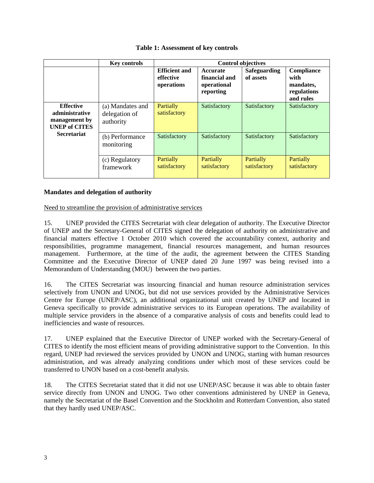#### **Table 1: Assessment of key controls**

|                                                                             | <b>Key controls</b>                            | <b>Control objectives</b>                       |                                                       |                                  |                                                             |  |
|-----------------------------------------------------------------------------|------------------------------------------------|-------------------------------------------------|-------------------------------------------------------|----------------------------------|-------------------------------------------------------------|--|
|                                                                             |                                                | <b>Efficient and</b><br>effective<br>operations | Accurate<br>financial and<br>operational<br>reporting | <b>Safeguarding</b><br>of assets | Compliance<br>with<br>mandates,<br>regulations<br>and rules |  |
| <b>Effective</b><br>administrative<br>management by<br><b>UNEP of CITES</b> | (a) Mandates and<br>delegation of<br>authority | <b>Partially</b><br>satisfactory                | Satisfactory                                          | Satisfactory                     | Satisfactory                                                |  |
| <b>Secretariat</b>                                                          | (b) Performance<br>monitoring                  | Satisfactory                                    | Satisfactory                                          | Satisfactory                     | Satisfactory                                                |  |
|                                                                             | (c) Regulatory<br>framework                    | <b>Partially</b><br>satisfactory                | <b>Partially</b><br>satisfactory                      | Partially<br>satisfactory        | <b>Partially</b><br>satisfactory                            |  |

#### **Mandates and delegation of authority**

Need to streamline the provision of administrative services

15. UNEP provided the CITES Secretariat with clear delegation of authority. The Executive Director of UNEP and the Secretary-General of CITES signed the delegation of authority on administrative and financial matters effective 1 October 2010 which covered the accountability context, authority and responsibilities, programme management, financial resources management, and human resources management. Furthermore, at the time of the audit, the agreement between the CITES Standing Committee and the Executive Director of UNEP dated 20 June 1997 was being revised into a Memorandum of Understanding (MOU) between the two parties.

16. The CITES Secretariat was insourcing financial and human resource administration services selectively from UNON and UNOG, but did not use services provided by the Administrative Services Centre for Europe (UNEP/ASC), an additional organizational unit created by UNEP and located in Geneva specifically to provide administrative services to its European operations. The availability of multiple service providers in the absence of a comparative analysis of costs and benefits could lead to inefficiencies and waste of resources.

17. UNEP explained that the Executive Director of UNEP worked with the Secretary-General of CITES to identify the most efficient means of providing administrative support to the Convention. In this regard, UNEP had reviewed the services provided by UNON and UNOG, starting with human resources administration, and was already analyzing conditions under which most of these services could be transferred to UNON based on a cost-benefit analysis.

18. The CITES Secretariat stated that it did not use UNEP/ASC because it was able to obtain faster service directly from UNON and UNOG. Two other conventions administered by UNEP in Geneva, namely the Secretariat of the Basel Convention and the Stockholm and Rotterdam Convention, also stated that they hardly used UNEP/ASC.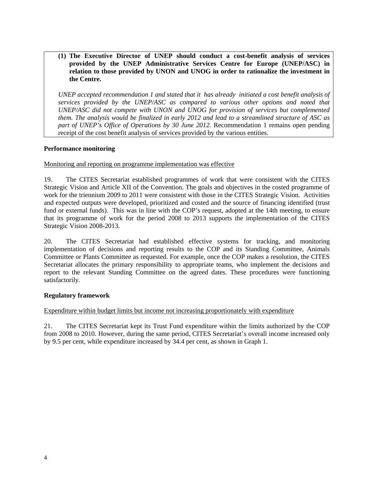**(1) The Executive Director of UNEP should conduct a cost-benefit analysis of services provided by the UNEP Administrative Services Centre for Europe (UNEP/ASC) in relation to those provided by UNON and UNOG in order to rationalize the investment in the Centre.** 

*UNEP accepted recommendation 1 and stated that it has already initiated a cost benefit analysis of services provided by the UNEP/ASC as compared to various other options and noted that UNEP/ASC did not compete with UNON and UNOG for provision of services but complemented them. The analysis would be finalized in early 2012 and lead to a streamlined structure of ASC as part of UNEP's Office of Operations by 30 June 2012.* Recommendation 1 remains open pending receipt of the cost benefit analysis of services provided by the various entities.

#### **Performance monitoring**

#### Monitoring and reporting on programme implementation was effective

19. The CITES Secretariat established programmes of work that were consistent with the CITES Strategic Vision and Article XII of the Convention. The goals and objectives in the costed programme of work for the triennium 2009 to 2011 were consistent with those in the CITES Strategic Vision. Activities and expected outputs were developed, prioritized and costed and the source of financing identified (trust fund or external funds). This was in line with the COP's request, adopted at the 14th meeting, to ensure that its programme of work for the period 2008 to 2013 supports the implementation of the CITES Strategic Vision 2008-2013.

20. The CITES Secretariat had established effective systems for tracking, and monitoring implementation of decisions and reporting results to the COP and its Standing Committee, Animals Committee or Plants Committee as requested. For example, once the COP makes a resolution, the CITES Secretariat allocates the primary responsibility to appropriate teams, who implement the decisions and report to the relevant Standing Committee on the agreed dates. These procedures were functioning satisfactorily.

#### **Regulatory framework**

#### Expenditure within budget limits but income not increasing proportionately with expenditure

21. The CITES Secretariat kept its Trust Fund expenditure within the limits authorized by the COP from 2008 to 2010. However, during the same period, CITES Secretariat's overall income increased only by 9.5 per cent, while expenditure increased by 34.4 per cent, as shown in Graph 1.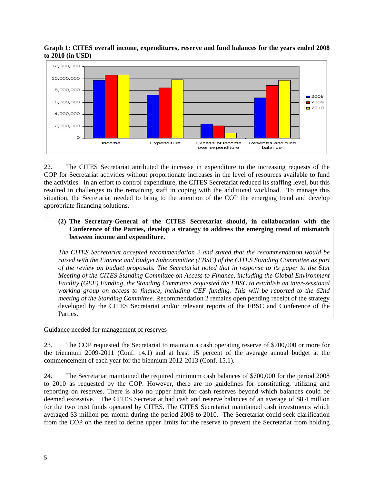



22. The CITES Secretariat attributed the increase in expenditure to the increasing requests of the COP for Secretariat activities without proportionate increases in the level of resources available to fund the activities. In an effort to control expenditure, the CITES Secretariat reduced its staffing level, but this resulted in challenges to the remaining staff in coping with the additional workload. To manage this situation, the Secretariat needed to bring to the attention of the COP the emerging trend and develop appropriate financing solutions.

### **(2) The Secretary-General of the CITES Secretariat should, in collaboration with the Conference of the Parties, develop a strategy to address the emerging trend of mismatch between income and expenditure.**

*The CITES Secretariat accepted recommendation 2 and stated that the recommendation would be raised with the Finance and Budget Subcommittee (FBSC) of the CITES Standing Committee as part of the review on budget proposals. The Secretariat noted that in response to its paper to the 61st Meeting of the CITES Standing Committee on Access to Finance, including the Global Environment Facility (GEF) Funding, the Standing Committee requested the FBSC to establish an inter-sessional working group on access to finance, including GEF funding. This will be reported to the 62nd meeting of the Standing Committee.* Recommendation 2 remains open pending receipt of the strategy developed by the CITES Secretariat and/or relevant reports of the FBSC and Conference of the Parties.

#### Guidance needed for management of reserves

23. The COP requested the Secretariat to maintain a cash operating reserve of \$700,000 or more for the triennium 2009-2011 (Conf. 14.1) and at least 15 percent of the average annual budget at the commencement of each year for the biennium 2012-2013 (Conf. 15.1).

24. The Secretariat maintained the required minimum cash balances of \$700,000 for the period 2008 to 2010 as requested by the COP. However, there are no guidelines for constituting, utilizing and reporting on reserves. There is also no upper limit for cash reserves beyond which balances could be deemed excessive. The CITES Secretariat had cash and reserve balances of an average of \$8.4 million for the two trust funds operated by CITES. The CITES Secretariat maintained cash investments which averaged \$3 million per month during the period 2008 to 2010. The Secretariat could seek clarification from the COP on the need to define upper limits for the reserve to prevent the Secretariat from holding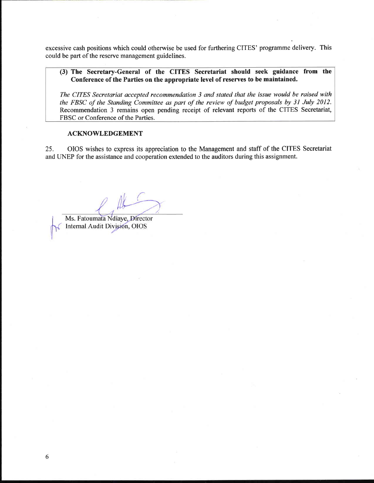excessive cash positions which could otherwise be used for furthering CITES' programme delivery. This could be part of the reserve management guidelines.

#### (3) The Secretary-General of the CITES Secretariat should seek guidance from the Conference of the Parties on the appropriate level of reserves to be maintained.

The CITES Secretariat accepted recommendation 3 and stated that the issue would be raised with the FBSC of the Standing Committee as part of the review of budget proposals by 31 July 2012. Recommendation 3 remains open pending receipt of relevant reports of the CITES Secretariat, FBSC or Conference of the Parties.

#### **ACKNOWLEDGEMENT**

25. OIOS wishes to express its appreciation to the Management and staff of the CITES Secretariat and UNEP for the assistance and cooperation extended to the auditors during this assignment.

Ms. Fatoumata Ndiaye, Director Internal Audit Division, OIOS